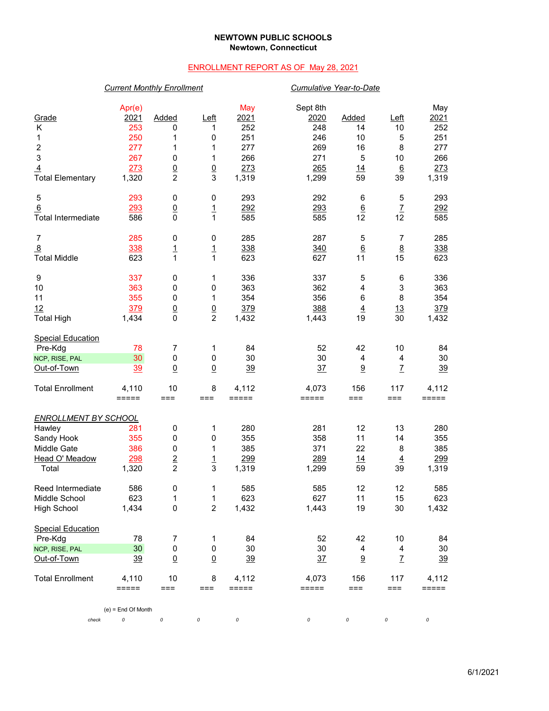## **NEWTOWN PUBLIC SCHOOLS Newtown, Connecticut**

# ENROLLMENT REPORT AS OF May 28, 2021

## *Current Monthly Enrollment Cumulative Year-to-Date*

| Grade<br>Κ<br>1<br>2<br>3<br>$\overline{4}$<br><b>Total Elementary</b> | Apr(e)<br>2021<br>253<br>250<br>277<br>267<br>273<br>1,320 | Added<br>0<br>1<br>1<br>0<br>$\underline{0}$<br>$\overline{2}$ | Left<br>1<br>0<br>1<br>1<br>$\overline{0}$<br>3 | May<br>2021<br>252<br>251<br>277<br>266<br>273<br>1,319 | Sept 8th<br>2020<br>248<br>246<br>269<br>271<br>265<br>1,299 | <b>Added</b><br>14<br>10<br>16<br>5<br>14<br>59 | $L$ eft<br>10<br>5<br>8<br>10<br>$\underline{6}$<br>39 | May<br>2021<br>252<br>251<br>277<br>266<br>273<br>1,319 |
|------------------------------------------------------------------------|------------------------------------------------------------|----------------------------------------------------------------|-------------------------------------------------|---------------------------------------------------------|--------------------------------------------------------------|-------------------------------------------------|--------------------------------------------------------|---------------------------------------------------------|
| 5                                                                      | 293                                                        | $\pmb{0}$                                                      | 0                                               | 293                                                     | 292                                                          | 6                                               | 5                                                      | 293                                                     |
| 6<br><b>Total Intermediate</b>                                         | 293<br>586                                                 | $\underline{0}$<br>$\mathbf 0$                                 | $\overline{1}$<br>$\mathbf{1}$                  | 292<br>585                                              | 293<br>585                                                   | 6<br>12                                         | $\mathbf{Z}$<br>12                                     | 292<br>585                                              |
| 7                                                                      | 285                                                        | 0                                                              | 0                                               | 285                                                     | 287                                                          | 5                                               | 7                                                      | 285                                                     |
| $\overline{8}$<br><b>Total Middle</b>                                  | 338<br>623                                                 | $\overline{1}$<br>$\mathbf{1}$                                 | $\overline{1}$<br>$\mathbf{1}$                  | 338<br>623                                              | 340<br>627                                                   | $6\phantom{1}6$<br>11                           | $\underline{8}$<br>15                                  | 338<br>623                                              |
| 9                                                                      | 337                                                        | 0                                                              | 1                                               | 336                                                     | 337                                                          | 5                                               | 6                                                      | 336                                                     |
| 10                                                                     | 363                                                        | 0                                                              | 0                                               | 363                                                     | 362                                                          | 4                                               | $\ensuremath{\mathsf{3}}$                              | 363                                                     |
| 11                                                                     | 355                                                        | 0                                                              | 1                                               | 354                                                     | 356                                                          | 6                                               | 8                                                      | 354                                                     |
| 12<br><b>Total High</b>                                                | 379<br>1,434                                               | $\underline{0}$<br>$\mathbf 0$                                 | $\underline{0}$<br>$\overline{c}$               | 379<br>1,432                                            | 388<br>1,443                                                 | $\overline{4}$<br>19                            | 13<br>30                                               | 379<br>1,432                                            |
| <b>Special Education</b>                                               |                                                            |                                                                |                                                 |                                                         |                                                              |                                                 |                                                        |                                                         |
| Pre-Kdg                                                                | 78                                                         | 7                                                              | 1                                               | 84                                                      | 52                                                           | 42                                              | 10                                                     | 84                                                      |
| NCP, RISE, PAL                                                         | 30                                                         | $\pmb{0}$                                                      | 0                                               | 30                                                      | 30                                                           | $\overline{4}$                                  | 4                                                      | 30                                                      |
| Out-of-Town                                                            | <u>39</u>                                                  | $\underline{0}$                                                | $\underline{0}$                                 | 39                                                      | 37                                                           | 9                                               | $\overline{L}$                                         | 39                                                      |
| <b>Total Enrollment</b>                                                | 4,110<br>$=====$                                           | 10<br>$==$                                                     | 8<br>===                                        | 4,112<br>=====                                          | 4,073<br>=====                                               | 156<br>$==$                                     | 117<br>$==$                                            | 4,112<br>$=====$                                        |
| <b>ENROLLMENT BY SCHOOL</b>                                            |                                                            |                                                                |                                                 |                                                         |                                                              |                                                 |                                                        |                                                         |
| Hawley                                                                 | 281                                                        | $\pmb{0}$                                                      | 1                                               | 280                                                     | 281                                                          | 12                                              | 13                                                     | 280                                                     |
| Sandy Hook                                                             | 355                                                        | 0                                                              | 0                                               | 355                                                     | 358                                                          | 11                                              | 14                                                     | 355                                                     |
| Middle Gate                                                            | 386                                                        | 0                                                              | 1                                               | 385                                                     | 371                                                          | 22                                              | 8                                                      | 385                                                     |
| Head O' Meadow                                                         | 298                                                        | $\overline{2}$                                                 | $\overline{1}$                                  | 299                                                     | 289                                                          | 14                                              | $\overline{4}$                                         | 299                                                     |
| Total                                                                  | 1,320                                                      | $\overline{c}$                                                 | 3                                               | 1,319                                                   | 1,299                                                        | 59                                              | 39                                                     | 1,319                                                   |
| Reed Intermediate                                                      | 586                                                        | 0                                                              | 1                                               | 585                                                     | 585                                                          | 12                                              | 12                                                     | 585                                                     |
| Middle School                                                          | 623                                                        | 1                                                              | 1                                               | 623                                                     | 627                                                          | 11                                              | 15                                                     | 623                                                     |
| <b>High School</b>                                                     | 1,434                                                      | $\pmb{0}$                                                      | $\overline{c}$                                  | 1,432                                                   | 1,443                                                        | 19                                              | 30                                                     | 1,432                                                   |
| <b>Special Education</b>                                               |                                                            |                                                                |                                                 |                                                         |                                                              |                                                 |                                                        |                                                         |
| Pre-Kdg                                                                | 78                                                         | 7                                                              | 1                                               | 84                                                      | 52                                                           | 42                                              | 10                                                     | 84                                                      |
| NCP, RISE, PAL                                                         | 30                                                         | $\pmb{0}$                                                      | $\pmb{0}$                                       | 30                                                      | 30                                                           | $\overline{4}$                                  | $\overline{4}$                                         | 30                                                      |
| Out-of-Town                                                            | 39                                                         | $\underline{0}$                                                | $\underline{0}$                                 | <u>39</u>                                               | 37                                                           | 9                                               | $\mathbf{Z}$                                           | 39                                                      |
| <b>Total Enrollment</b>                                                | 4,110<br>=====                                             | 10<br>===                                                      | 8<br>===                                        | 4,112<br>$=$ $=$ $=$ $=$ $=$                            | 4,073<br>=====                                               | 156<br>$==$                                     | 117<br>===                                             | 4,112<br>=====                                          |
|                                                                        | $(e)$ = End Of Month                                       |                                                                |                                                 |                                                         |                                                              |                                                 |                                                        |                                                         |
| check                                                                  | 0                                                          | 0                                                              | 0                                               | 0                                                       | 0                                                            | 0                                               | 0                                                      | 0                                                       |